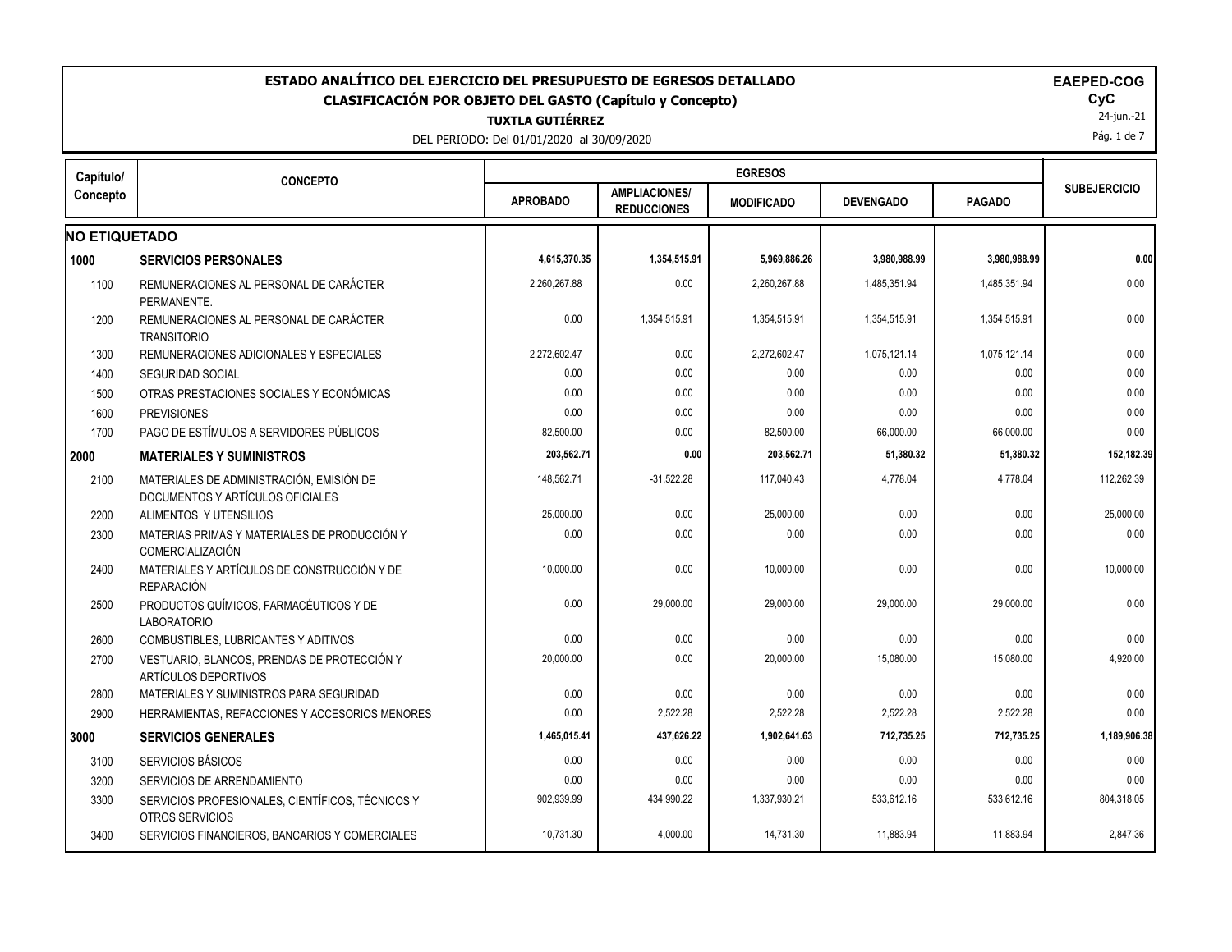| ESTADO ANALÍTICO DEL EJERCICIO DEL PRESUPUESTO DE EGRESOS DETALLADO<br><b>EAEPED-COG</b><br>CLASIFICACIÓN POR OBJETO DEL GASTO (Capítulo y Concepto)<br><b>TUXTLA GUTIÉRREZ</b><br>DEL PERIODO: Del 01/01/2020 al 30/09/2020 |                                                                              |                 |                                            |                   |                  |               |                     |
|------------------------------------------------------------------------------------------------------------------------------------------------------------------------------------------------------------------------------|------------------------------------------------------------------------------|-----------------|--------------------------------------------|-------------------|------------------|---------------|---------------------|
| Capítulo/                                                                                                                                                                                                                    | <b>CONCEPTO</b>                                                              |                 |                                            | <b>EGRESOS</b>    |                  |               |                     |
| Concepto                                                                                                                                                                                                                     |                                                                              | <b>APROBADO</b> | <b>AMPLIACIONES/</b><br><b>REDUCCIONES</b> | <b>MODIFICADO</b> | <b>DEVENGADO</b> | <b>PAGADO</b> | <b>SUBEJERCICIO</b> |
| <b>NO ETIQUETADO</b>                                                                                                                                                                                                         |                                                                              |                 |                                            |                   |                  |               |                     |
| 1000                                                                                                                                                                                                                         | <b>SERVICIOS PERSONALES</b>                                                  | 4,615,370.35    | 1,354,515.91                               | 5,969,886.26      | 3,980,988.99     | 3,980,988.99  | 0.00                |
| 1100                                                                                                                                                                                                                         | REMUNERACIONES AL PERSONAL DE CARÁCTER<br>PERMANENTE.                        | 2.260.267.88    | 0.00                                       | 2.260.267.88      | 1.485.351.94     | 1.485.351.94  | 0.00                |
| 1200                                                                                                                                                                                                                         | REMUNERACIONES AL PERSONAL DE CARÁCTER<br><b>TRANSITORIO</b>                 | 0.00            | 1,354,515.91                               | 1,354,515.91      | 1,354,515.91     | 1,354,515.91  | 0.00                |
| 1300                                                                                                                                                                                                                         | REMUNERACIONES ADICIONALES Y ESPECIALES                                      | 2,272,602.47    | 0.00                                       | 2,272,602.47      | 1,075,121.14     | 1,075,121.14  | 0.00                |
| 1400                                                                                                                                                                                                                         | <b>SEGURIDAD SOCIAL</b>                                                      | 0.00            | 0.00                                       | 0.00              | 0.00             | 0.00          | 0.00                |
| 1500                                                                                                                                                                                                                         | OTRAS PRESTACIONES SOCIALES Y ECONÓMICAS                                     | 0.00            | 0.00                                       | 0.00              | 0.00             | 0.00          | 0.00                |
| 1600                                                                                                                                                                                                                         | <b>PREVISIONES</b>                                                           | 0.00            | 0.00                                       | 0.00              | 0.00             | 0.00          | 0.00                |
| 1700                                                                                                                                                                                                                         | PAGO DE ESTÍMULOS A SERVIDORES PÚBLICOS                                      | 82,500.00       | 0.00                                       | 82,500.00         | 66,000.00        | 66,000.00     | 0.00                |
|                                                                                                                                                                                                                              | <b>MATERIALES Y SUMINISTROS</b>                                              | 203,562.71      | 0.00                                       | 203,562.71        | 51,380.32        | 51,380.32     | 152,182.39          |
| 2100                                                                                                                                                                                                                         | MATERIALES DE ADMINISTRACIÓN. EMISIÓN DE<br>DOCUMENTOS Y ARTÍCULOS OFICIALES | 148,562.71      | $-31,522.28$                               | 117,040.43        | 4,778.04         | 4,778.04      | 112,262.39          |
| 2200                                                                                                                                                                                                                         | ALIMENTOS Y UTENSILIOS                                                       | 25,000.00       | 0.00                                       | 25,000.00         | 0.00             | 0.00          | 25,000.00           |
| 2300                                                                                                                                                                                                                         | MATERIAS PRIMAS Y MATERIALES DE PRODUCCIÓN Y<br>COMERCIALIZACIÓN             | 0.00            | 0.00                                       | 0.00              | 0.00             | 0.00          | 0.00                |
| 2400                                                                                                                                                                                                                         | MATERIALES Y ARTÍCULOS DE CONSTRUCCIÓN Y DE<br><b>REPARACIÓN</b>             | 10,000.00       | 0.00                                       | 10,000.00         | 0.00             | 0.00          | 10,000.00           |
| 2500                                                                                                                                                                                                                         | PRODUCTOS QUÍMICOS, FARMACÉUTICOS Y DE<br><b>LABORATORIO</b>                 | 0.00            | 29,000.00                                  | 29,000.00         | 29,000.00        | 29,000.00     | 0.00                |
| 2600                                                                                                                                                                                                                         | COMBUSTIBLES, LUBRICANTES Y ADITIVOS                                         | 0.00            | 0.00                                       | 0.00              | 0.00             | 0.00          | 0.00                |
| 2700                                                                                                                                                                                                                         | VESTUARIO, BLANCOS, PRENDAS DE PROTECCIÓN Y<br>ARTÍCULOS DEPORTIVOS          | 20,000.00       | 0.00                                       | 20,000.00         | 15,080.00        | 15,080.00     | 4,920.00            |
| 2800                                                                                                                                                                                                                         | MATERIALES Y SUMINISTROS PARA SEGURIDAD                                      | 0.00            | 0.00                                       | 0.00              | 0.00             | 0.00          | 0.00                |
| 2900                                                                                                                                                                                                                         | HERRAMIENTAS, REFACCIONES Y ACCESORIOS MENORES                               | 0.00            | 2,522.28                                   | 2,522.28          | 2,522.28         | 2,522.28      | 0.00                |
| 3000                                                                                                                                                                                                                         | <b>SERVICIOS GENERALES</b>                                                   | 1,465,015.41    | 437,626.22                                 | 1,902,641.63      | 712,735.25       | 712,735.25    | 1,189,906.38        |
| 3100                                                                                                                                                                                                                         | <b>SERVICIOS BÁSICOS</b>                                                     | 0.00            | 0.00                                       | 0.00              | 0.00             | 0.00          | 0.00                |
| 3200                                                                                                                                                                                                                         | SERVICIOS DE ARRENDAMIENTO                                                   | 0.00            | 0.00                                       | 0.00              | 0.00             | 0.00          | 0.00                |
| 3300                                                                                                                                                                                                                         | SERVICIOS PROFESIONALES, CIENTÍFICOS, TÉCNICOS Y<br>OTROS SERVICIOS          | 902,939.99      | 434,990.22                                 | 1,337,930.21      | 533,612.16       | 533,612.16    | 804,318.05          |
| 3400                                                                                                                                                                                                                         | SERVICIOS FINANCIEROS, BANCARIOS Y COMERCIALES                               | 10,731.30       | 4.000.00                                   | 14.731.30         | 11.883.94        | 11.883.94     | 2.847.36            |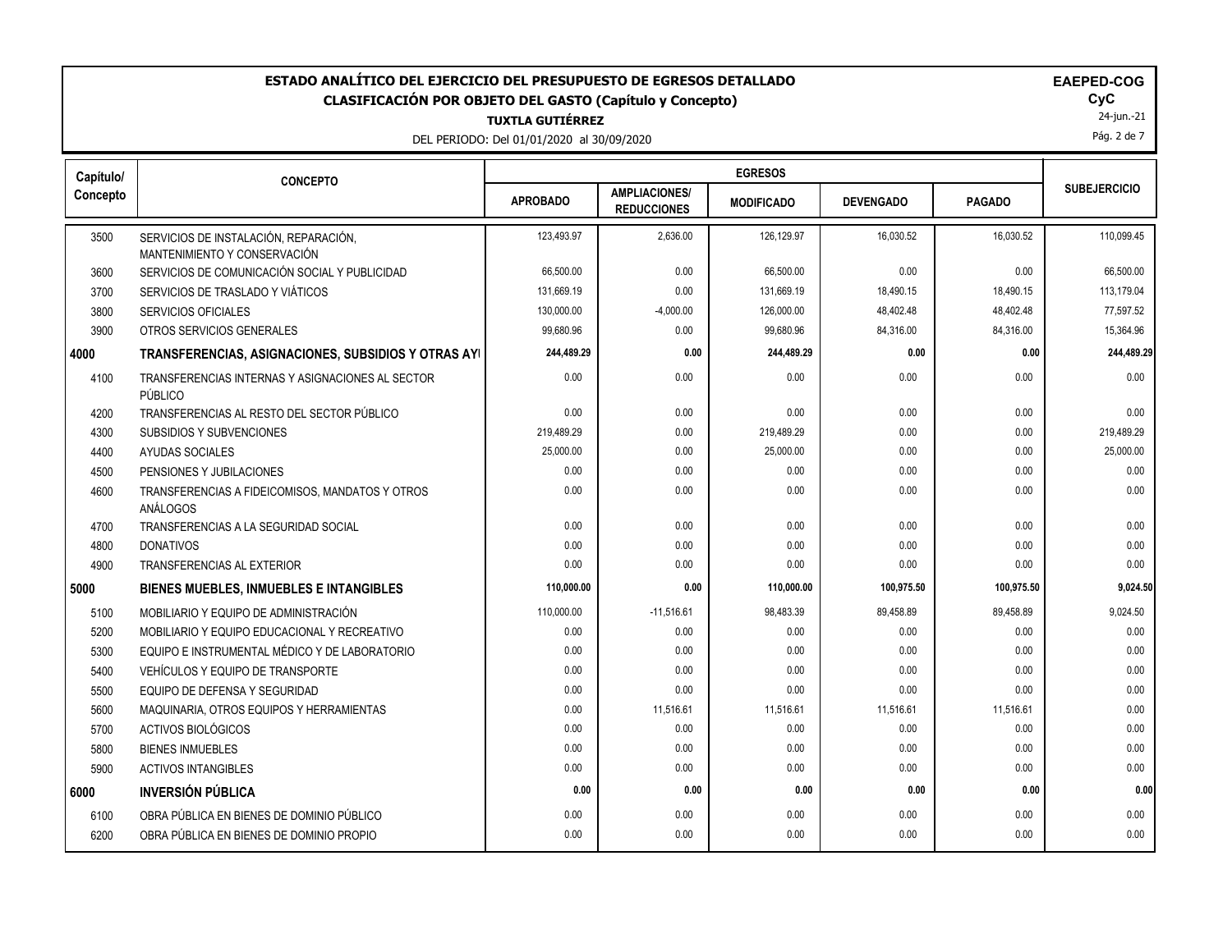#### **TUXTLA GUTIÉRREZ ESTADO ANALÍTICO DEL EJERCICIO DEL PRESUPUESTO DE EGRESOS DETALLADO EAEPED-COG CLASIFICACIÓN POR OBJETO DEL GASTO (Capítulo y Concepto) CyC**

DEL PERIODO: Del 01/01/2020 al 30/09/2020

| <b>\EPED-COG</b> |
|------------------|
|                  |

 $\mathsf{Cyc}$ <br>24-jun.-21

Pág. 2 de 7

| Capítulo/ | <b>CONCEPTO</b>                                                       |                 |                                            | <b>EGRESOS</b>    |                  |               |                     |
|-----------|-----------------------------------------------------------------------|-----------------|--------------------------------------------|-------------------|------------------|---------------|---------------------|
| Concepto  |                                                                       | <b>APROBADO</b> | <b>AMPLIACIONES/</b><br><b>REDUCCIONES</b> | <b>MODIFICADO</b> | <b>DEVENGADO</b> | <b>PAGADO</b> | <b>SUBEJERCICIO</b> |
| 3500      | SERVICIOS DE INSTALACIÓN, REPARACIÓN,<br>MANTENIMIENTO Y CONSERVACIÓN | 123,493.97      | 2,636.00                                   | 126,129.97        | 16,030.52        | 16,030.52     | 110,099.45          |
| 3600      | SERVICIOS DE COMUNICACIÓN SOCIAL Y PUBLICIDAD                         | 66,500.00       | 0.00                                       | 66,500.00         | 0.00             | 0.00          | 66,500.00           |
| 3700      | SERVICIOS DE TRASLADO Y VIÁTICOS                                      | 131,669.19      | 0.00                                       | 131,669.19        | 18,490.15        | 18,490.15     | 113,179.04          |
| 3800      | <b>SERVICIOS OFICIALES</b>                                            | 130,000.00      | $-4,000.00$                                | 126,000.00        | 48,402.48        | 48,402.48     | 77,597.52           |
| 3900      | OTROS SERVICIOS GENERALES                                             | 99,680.96       | 0.00                                       | 99,680.96         | 84,316.00        | 84,316.00     | 15,364.96           |
| 4000      | TRANSFERENCIAS, ASIGNACIONES, SUBSIDIOS Y OTRAS AYI                   | 244,489.29      | 0.00                                       | 244,489.29        | 0.00             | 0.00          | 244,489.29          |
| 4100      | TRANSFERENCIAS INTERNAS Y ASIGNACIONES AL SECTOR<br>PÚBLICO           | 0.00            | 0.00                                       | 0.00              | 0.00             | 0.00          | 0.00                |
| 4200      | TRANSFERENCIAS AL RESTO DEL SECTOR PÚBLICO                            | 0.00            | 0.00                                       | 0.00              | 0.00             | 0.00          | 0.00                |
| 4300      | SUBSIDIOS Y SUBVENCIONES                                              | 219,489.29      | 0.00                                       | 219,489.29        | 0.00             | 0.00          | 219,489.29          |
| 4400      | AYUDAS SOCIALES                                                       | 25,000.00       | 0.00                                       | 25,000.00         | 0.00             | 0.00          | 25,000.00           |
| 4500      | PENSIONES Y JUBILACIONES                                              | 0.00            | 0.00                                       | 0.00              | 0.00             | 0.00          | 0.00                |
| 4600      | TRANSFERENCIAS A FIDEICOMISOS, MANDATOS Y OTROS<br>ANÁLOGOS           | 0.00            | 0.00                                       | 0.00              | 0.00             | 0.00          | 0.00                |
| 4700      | TRANSFERENCIAS A LA SEGURIDAD SOCIAL                                  | 0.00            | 0.00                                       | 0.00              | 0.00             | 0.00          | 0.00                |
| 4800      | <b>DONATIVOS</b>                                                      | 0.00            | 0.00                                       | 0.00              | 0.00             | 0.00          | 0.00                |
| 4900      | TRANSFERENCIAS AL EXTERIOR                                            | 0.00            | 0.00                                       | 0.00              | 0.00             | 0.00          | 0.00                |
| 5000      | BIENES MUEBLES, INMUEBLES E INTANGIBLES                               | 110,000.00      | 0.00                                       | 110,000.00        | 100,975.50       | 100,975.50    | 9,024.50            |
| 5100      | MOBILIARIO Y EQUIPO DE ADMINISTRACIÓN                                 | 110,000.00      | $-11,516.61$                               | 98,483.39         | 89,458.89        | 89,458.89     | 9,024.50            |
| 5200      | MOBILIARIO Y EQUIPO EDUCACIONAL Y RECREATIVO                          | 0.00            | 0.00                                       | 0.00              | 0.00             | 0.00          | 0.00                |
| 5300      | EQUIPO E INSTRUMENTAL MÉDICO Y DE LABORATORIO                         | 0.00            | 0.00                                       | 0.00              | 0.00             | 0.00          | 0.00                |
| 5400      | VEHÍCULOS Y EQUIPO DE TRANSPORTE                                      | 0.00            | 0.00                                       | 0.00              | 0.00             | 0.00          | 0.00                |
| 5500      | EQUIPO DE DEFENSA Y SEGURIDAD                                         | 0.00            | 0.00                                       | 0.00              | 0.00             | 0.00          | 0.00                |
| 5600      | MAQUINARIA, OTROS EQUIPOS Y HERRAMIENTAS                              | 0.00            | 11,516.61                                  | 11,516.61         | 11,516.61        | 11,516.61     | 0.00                |
| 5700      | ACTIVOS BIOLÓGICOS                                                    | 0.00            | 0.00                                       | 0.00              | 0.00             | 0.00          | 0.00                |
| 5800      | <b>BIENES INMUEBLES</b>                                               | 0.00            | 0.00                                       | 0.00              | 0.00             | 0.00          | 0.00                |
| 5900      | <b>ACTIVOS INTANGIBLES</b>                                            | 0.00            | 0.00                                       | 0.00              | 0.00             | 0.00          | 0.00                |
| 6000      | <b>INVERSIÓN PÚBLICA</b>                                              | 0.00            | 0.00                                       | 0.00              | 0.00             | 0.00          | 0.00                |
| 6100      | OBRA PÚBLICA EN BIENES DE DOMINIO PÚBLICO                             | 0.00            | 0.00                                       | 0.00              | 0.00             | 0.00          | 0.00                |
| 6200      | OBRA PÚBLICA EN BIENES DE DOMINIO PROPIO                              | 0.00            | 0.00                                       | 0.00              | 0.00             | 0.00          | 0.00                |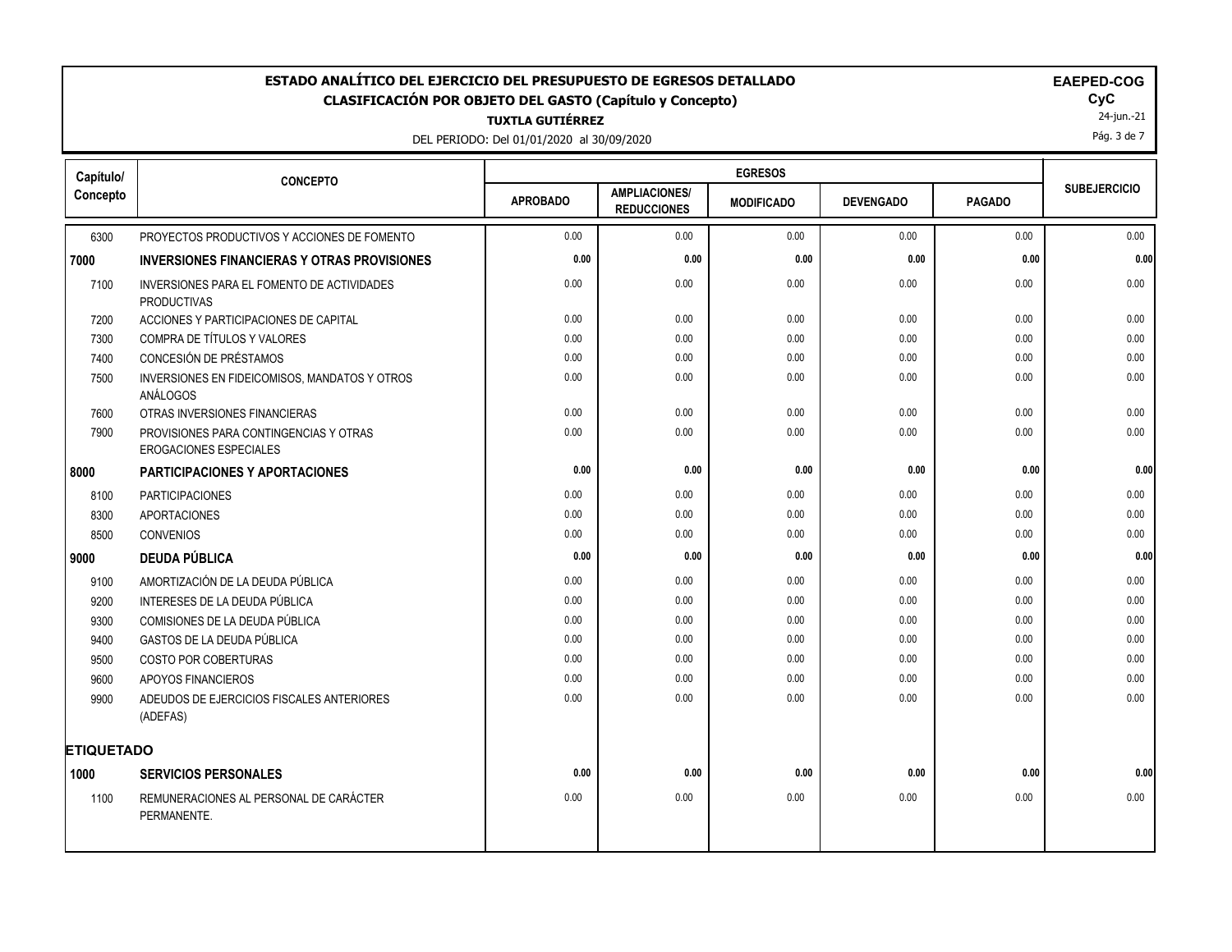# **ESTADO ANALÍTICO DEL EJERCICIO DEL PRESUPUESTO DE EGRESOS DETALLADO EAECOGO EN EXECUCIONADO EM EM CLASIFICACIÓN POR OBJETO DEL GASTO (Capítulo y Concepto) CyC**

**TUXTLA GUTIÉRREZ**

DEL PERIODO: Del 01/01/2020 al 30/09/2020

|  |  | <b>EAEPED-COG</b> |  |  |
|--|--|-------------------|--|--|
|  |  |                   |  |  |

 $\mathsf{Cyc}$ <br>24-jun.-21

Pág. 3 de 7

| Capítulo/         | <b>CONCEPTO</b>                                                         |                 |                                            | <b>EGRESOS</b>    |                  |               |                     |
|-------------------|-------------------------------------------------------------------------|-----------------|--------------------------------------------|-------------------|------------------|---------------|---------------------|
| Concepto          |                                                                         | <b>APROBADO</b> | <b>AMPLIACIONES/</b><br><b>REDUCCIONES</b> | <b>MODIFICADO</b> | <b>DEVENGADO</b> | <b>PAGADO</b> | <b>SUBEJERCICIO</b> |
| 6300              | PROYECTOS PRODUCTIVOS Y ACCIONES DE FOMENTO                             | 0.00            | 0.00                                       | 0.00              | 0.00             | 0.00          | 0.00                |
| 7000              | <b>INVERSIONES FINANCIERAS Y OTRAS PROVISIONES</b>                      | 0.00            | 0.00                                       | 0.00              | 0.00             | 0.00          | 0.00                |
| 7100              | INVERSIONES PARA EL FOMENTO DE ACTIVIDADES<br><b>PRODUCTIVAS</b>        | 0.00            | 0.00                                       | 0.00              | 0.00             | 0.00          | 0.00                |
| 7200              | ACCIONES Y PARTICIPACIONES DE CAPITAL                                   | 0.00            | 0.00                                       | 0.00              | 0.00             | 0.00          | 0.00                |
| 7300              | COMPRA DE TÍTULOS Y VALORES                                             | 0.00            | 0.00                                       | 0.00              | 0.00             | 0.00          | 0.00                |
| 7400              | CONCESIÓN DE PRÉSTAMOS                                                  | 0.00            | 0.00                                       | 0.00              | 0.00             | 0.00          | 0.00                |
| 7500              | INVERSIONES EN FIDEICOMISOS, MANDATOS Y OTROS<br>ANÁLOGOS               | 0.00            | 0.00                                       | 0.00              | 0.00             | 0.00          | 0.00                |
| 7600              | OTRAS INVERSIONES FINANCIERAS                                           | 0.00            | 0.00                                       | 0.00              | 0.00             | 0.00          | 0.00                |
| 7900              | PROVISIONES PARA CONTINGENCIAS Y OTRAS<br><b>EROGACIONES ESPECIALES</b> | 0.00            | 0.00                                       | 0.00              | 0.00             | 0.00          | 0.00                |
| 8000              | PARTICIPACIONES Y APORTACIONES                                          | 0.00            | 0.00                                       | 0.00              | 0.00             | 0.00          | 0.00                |
| 8100              | <b>PARTICIPACIONES</b>                                                  | 0.00            | 0.00                                       | 0.00              | 0.00             | 0.00          | 0.00                |
| 8300              | <b>APORTACIONES</b>                                                     | 0.00            | 0.00                                       | 0.00              | 0.00             | 0.00          | 0.00                |
| 8500              | <b>CONVENIOS</b>                                                        | 0.00            | 0.00                                       | 0.00              | 0.00             | 0.00          | 0.00                |
| 9000              | <b>DEUDA PÚBLICA</b>                                                    | 0.00            | 0.00                                       | 0.00              | 0.00             | 0.00          | 0.00                |
| 9100              | AMORTIZACIÓN DE LA DEUDA PÚBLICA                                        | 0.00            | 0.00                                       | 0.00              | 0.00             | 0.00          | 0.00                |
| 9200              | INTERESES DE LA DEUDA PÚBLICA                                           | 0.00            | 0.00                                       | 0.00              | 0.00             | 0.00          | 0.00                |
| 9300              | COMISIONES DE LA DEUDA PÚBLICA                                          | 0.00            | 0.00                                       | 0.00              | 0.00             | 0.00          | 0.00                |
| 9400              | <b>GASTOS DE LA DEUDA PÚBLICA</b>                                       | 0.00            | 0.00                                       | 0.00              | 0.00             | 0.00          | 0.00                |
| 9500              | <b>COSTO POR COBERTURAS</b>                                             | 0.00            | 0.00                                       | 0.00              | 0.00             | 0.00          | 0.00                |
| 9600              | APOYOS FINANCIEROS                                                      | 0.00            | 0.00                                       | 0.00              | 0.00             | 0.00          | 0.00                |
| 9900              | ADEUDOS DE EJERCICIOS FISCALES ANTERIORES<br>(ADEFAS)                   | 0.00            | 0.00                                       | 0.00              | 0.00             | 0.00          | 0.00                |
| <b>ETIQUETADO</b> |                                                                         |                 |                                            |                   |                  |               |                     |
| 1000              | <b>SERVICIOS PERSONALES</b>                                             | 0.00            | 0.00                                       | 0.00              | 0.00             | 0.00          | 0.00                |
| 1100              | REMUNERACIONES AL PERSONAL DE CARÁCTER<br>PERMANENTE.                   | 0.00            | 0.00                                       | 0.00              | 0.00             | 0.00          | 0.00                |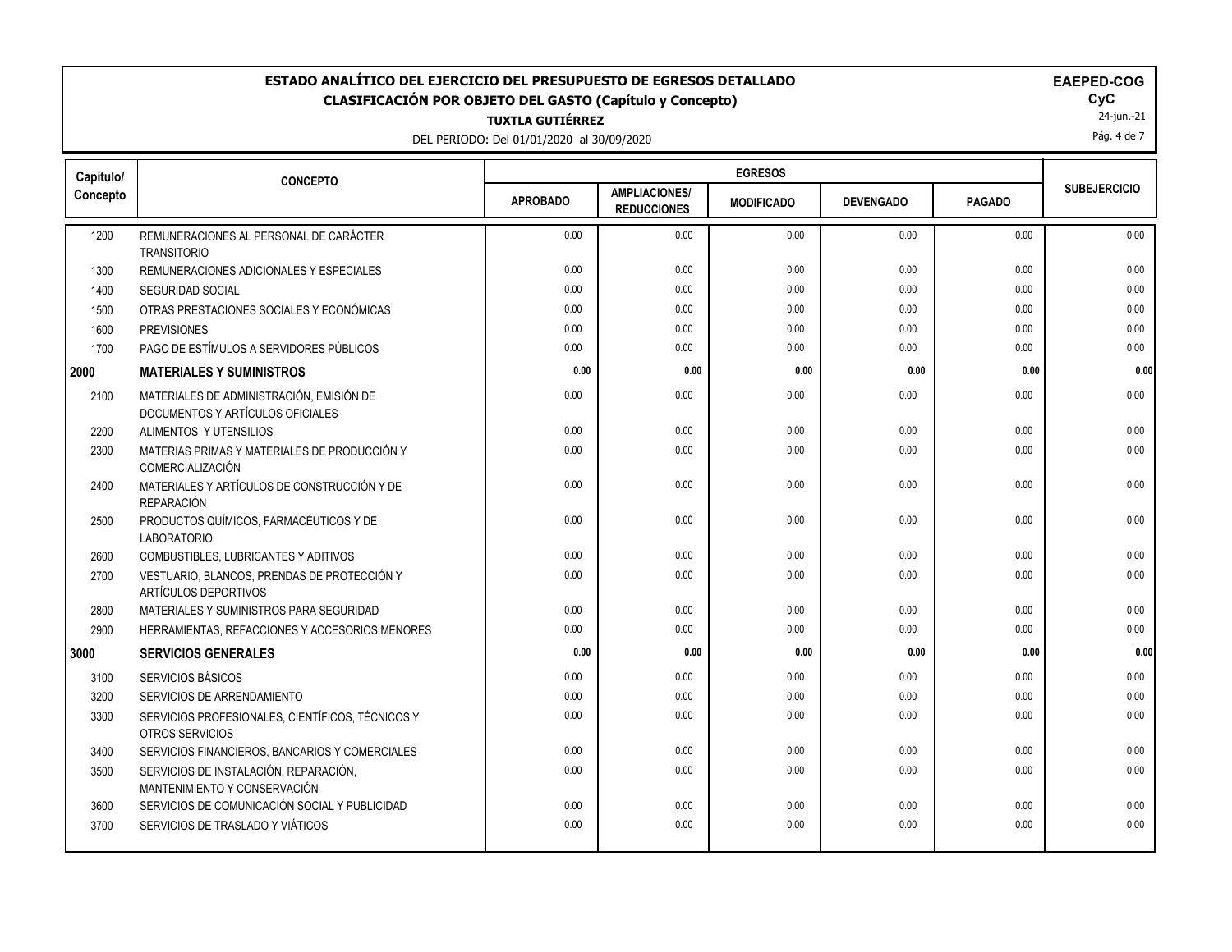# **ESTADO ANALÍTICO DEL EJERCICIO DEL PRESUPUESTO DE EGRESOS DETALLADO EAEPED-COG CLASIFICACIÓN POR OBJETO DEL GASTO (Capítulo y Concepto) CyC**

**TUXTLA GUTIÉRREZ**

DEL PERIODO: Del 01/01/2020 al 30/09/2020

| <b>EAEPED-COO</b> |  |
|-------------------|--|
|-------------------|--|

24-jun.-21

Pág. 4 de 7

| Capítulo/ | <b>CONCEPTO</b>                                                              |                 |                                            | <b>EGRESOS</b>    |                  |               |                     |
|-----------|------------------------------------------------------------------------------|-----------------|--------------------------------------------|-------------------|------------------|---------------|---------------------|
| Concepto  |                                                                              | <b>APROBADO</b> | <b>AMPLIACIONES/</b><br><b>REDUCCIONES</b> | <b>MODIFICADO</b> | <b>DEVENGADO</b> | <b>PAGADO</b> | <b>SUBEJERCICIO</b> |
| 1200      | REMUNERACIONES AL PERSONAL DE CARÁCTER<br><b>TRANSITORIO</b>                 | 0.00            | 0.00                                       | 0.00              | 0.00             | 0.00          | 0.00                |
| 1300      | REMUNERACIONES ADICIONALES Y ESPECIALES                                      | 0.00            | 0.00                                       | 0.00              | 0.00             | 0.00          | 0.00                |
| 1400      | <b>SEGURIDAD SOCIAL</b>                                                      | 0.00            | 0.00                                       | 0.00              | 0.00             | 0.00          | 0.00                |
| 1500      | OTRAS PRESTACIONES SOCIALES Y ECONÓMICAS                                     | 0.00            | 0.00                                       | 0.00              | 0.00             | 0.00          | 0.00                |
| 1600      | <b>PREVISIONES</b>                                                           | 0.00            | 0.00                                       | 0.00              | 0.00             | 0.00          | 0.00                |
| 1700      | PAGO DE ESTÍMULOS A SERVIDORES PÚBLICOS                                      | 0.00            | 0.00                                       | 0.00              | 0.00             | 0.00          | 0.00                |
| 2000      | <b>MATERIALES Y SUMINISTROS</b>                                              | 0.00            | 0.00                                       | 0.00              | 0.00             | 0.00          | 0.00                |
| 2100      | MATERIALES DE ADMINISTRACIÓN, EMISIÓN DE<br>DOCUMENTOS Y ARTÍCULOS OFICIALES | 0.00            | 0.00                                       | 0.00              | 0.00             | 0.00          | 0.00                |
| 2200      | ALIMENTOS Y UTENSILIOS                                                       | 0.00            | 0.00                                       | 0.00              | 0.00             | 0.00          | 0.00                |
| 2300      | MATERIAS PRIMAS Y MATERIALES DE PRODUCCIÓN Y<br>COMERCIALIZACIÓN             | 0.00            | 0.00                                       | 0.00              | 0.00             | 0.00          | 0.00                |
| 2400      | MATERIALES Y ARTÍCULOS DE CONSTRUCCIÓN Y DE<br>REPARACIÓN                    | 0.00            | 0.00                                       | 0.00              | 0.00             | 0.00          | 0.00                |
| 2500      | PRODUCTOS QUÍMICOS, FARMACÉUTICOS Y DE<br><b>LABORATORIO</b>                 | 0.00            | 0.00                                       | 0.00              | 0.00             | 0.00          | 0.00                |
| 2600      | COMBUSTIBLES, LUBRICANTES Y ADITIVOS                                         | 0.00            | 0.00                                       | 0.00              | 0.00             | 0.00          | 0.00                |
| 2700      | VESTUARIO, BLANCOS, PRENDAS DE PROTECCIÓN Y<br>ARTÍCULOS DEPORTIVOS          | 0.00            | 0.00                                       | 0.00              | 0.00             | 0.00          | 0.00                |
| 2800      | MATERIALES Y SUMINISTROS PARA SEGURIDAD                                      | 0.00            | 0.00                                       | 0.00              | 0.00             | 0.00          | 0.00                |
| 2900      | HERRAMIENTAS, REFACCIONES Y ACCESORIOS MENORES                               | 0.00            | 0.00                                       | 0.00              | 0.00             | 0.00          | 0.00                |
| 3000      | <b>SERVICIOS GENERALES</b>                                                   | 0.00            | 0.00                                       | 0.00              | 0.00             | 0.00          | 0.00                |
| 3100      | SERVICIOS BÁSICOS                                                            | 0.00            | 0.00                                       | 0.00              | 0.00             | 0.00          | 0.00                |
| 3200      | SERVICIOS DE ARRENDAMIENTO                                                   | 0.00            | 0.00                                       | 0.00              | 0.00             | 0.00          | 0.00                |
| 3300      | SERVICIOS PROFESIONALES, CIENTÍFICOS, TÉCNICOS Y<br>OTROS SERVICIOS          | 0.00            | 0.00                                       | 0.00              | 0.00             | 0.00          | 0.00                |
| 3400      | SERVICIOS FINANCIEROS, BANCARIOS Y COMERCIALES                               | 0.00            | 0.00                                       | 0.00              | 0.00             | 0.00          | 0.00                |
| 3500      | SERVICIOS DE INSTALACIÓN, REPARACIÓN,<br>MANTENIMIENTO Y CONSERVACIÓN        | 0.00            | 0.00                                       | 0.00              | 0.00             | 0.00          | 0.00                |
| 3600      | SERVICIOS DE COMUNICACIÓN SOCIAL Y PUBLICIDAD                                | 0.00            | 0.00                                       | 0.00              | 0.00             | 0.00          | 0.00                |
| 3700      | SERVICIOS DE TRASLADO Y VIÁTICOS                                             | 0.00            | 0.00                                       | 0.00              | 0.00             | 0.00          | 0.00                |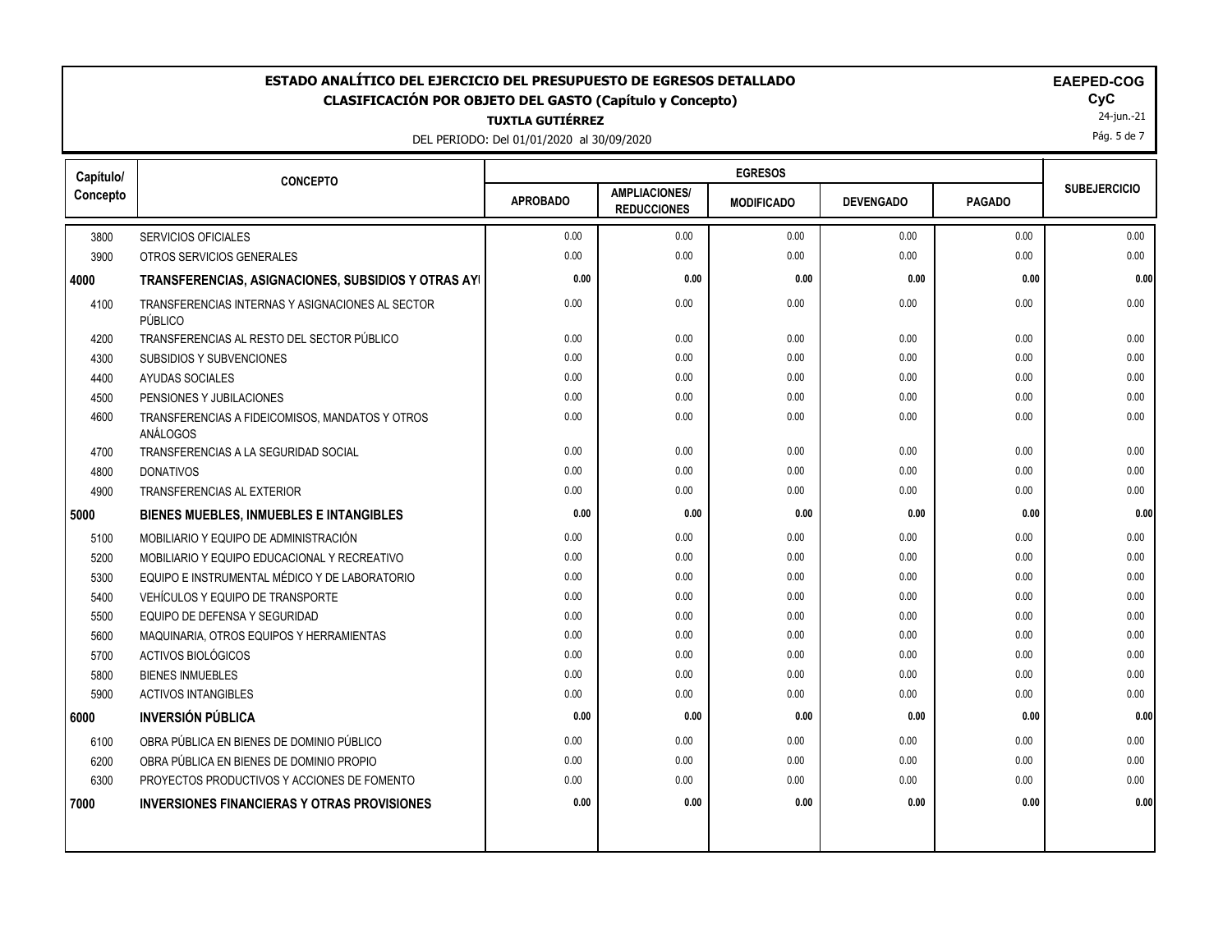### **ESTADO ANALÍTICO DEL EJERCICIO DEL PRESUPUESTO DE EGRESOS DETALLADO<br>CLASIFICACIÓN POR OBJETO DEL GASTO (Capítulo y Concepto) <b>EXAGO** COGOGO EL GOGO COGOGO EL GOGO EL GOGO **CLASIFICACIÓN POR OBJETO DEL GASTO (Capítulo y Concepto) CyC**

**TUXTLA GUTIÉRREZ**

DEL PERIODO: Del 01/01/2020 al 30/09/2020

24-jun.-21 Pág. 5 de 7

| Capítulo/ | <b>CONCEPTO</b>                                             |                 |                                            | <b>EGRESOS</b>    |                  |               |                     |
|-----------|-------------------------------------------------------------|-----------------|--------------------------------------------|-------------------|------------------|---------------|---------------------|
| Concepto  |                                                             | <b>APROBADO</b> | <b>AMPLIACIONES/</b><br><b>REDUCCIONES</b> | <b>MODIFICADO</b> | <b>DEVENGADO</b> | <b>PAGADO</b> | <b>SUBEJERCICIO</b> |
| 3800      | <b>SERVICIOS OFICIALES</b>                                  | 0.00            | 0.00                                       | 0.00              | 0.00             | 0.00          | 0.00                |
| 3900      | OTROS SERVICIOS GENERALES                                   | 0.00            | 0.00                                       | 0.00              | 0.00             | 0.00          | 0.00                |
| 4000      | TRANSFERENCIAS, ASIGNACIONES, SUBSIDIOS Y OTRAS AYI         | 0.00            | 0.00                                       | 0.00              | 0.00             | 0.00          | 0.00                |
| 4100      | TRANSFERENCIAS INTERNAS Y ASIGNACIONES AL SECTOR<br>PÚBLICO | 0.00            | 0.00                                       | 0.00              | 0.00             | 0.00          | 0.00                |
| 4200      | TRANSFERENCIAS AL RESTO DEL SECTOR PÚBLICO                  | 0.00            | 0.00                                       | 0.00              | 0.00             | 0.00          | 0.00                |
| 4300      | SUBSIDIOS Y SUBVENCIONES                                    | 0.00            | 0.00                                       | 0.00              | 0.00             | 0.00          | 0.00                |
| 4400      | <b>AYUDAS SOCIALES</b>                                      | 0.00            | 0.00                                       | 0.00              | 0.00             | 0.00          | 0.00                |
| 4500      | PENSIONES Y JUBILACIONES                                    | 0.00            | 0.00                                       | 0.00              | 0.00             | 0.00          | 0.00                |
| 4600      | TRANSFERENCIAS A FIDEICOMISOS, MANDATOS Y OTROS<br>ANÁLOGOS | 0.00            | 0.00                                       | 0.00              | 0.00             | 0.00          | 0.00                |
| 4700      | TRANSFERENCIAS A LA SEGURIDAD SOCIAL                        | 0.00            | 0.00                                       | 0.00              | 0.00             | 0.00          | 0.00                |
| 4800      | <b>DONATIVOS</b>                                            | 0.00            | 0.00                                       | 0.00              | 0.00             | 0.00          | 0.00                |
| 4900      | <b>TRANSFERENCIAS AL EXTERIOR</b>                           | 0.00            | 0.00                                       | 0.00              | 0.00             | 0.00          | 0.00                |
| 5000      | <b>BIENES MUEBLES, INMUEBLES E INTANGIBLES</b>              | 0.00            | 0.00                                       | 0.00              | 0.00             | 0.00          | 0.00                |
| 5100      | MOBILIARIO Y EQUIPO DE ADMINISTRACIÓN                       | 0.00            | 0.00                                       | 0.00              | 0.00             | 0.00          | 0.00                |
| 5200      | MOBILIARIO Y EQUIPO EDUCACIONAL Y RECREATIVO                | 0.00            | 0.00                                       | 0.00              | 0.00             | 0.00          | 0.00                |
| 5300      | EQUIPO E INSTRUMENTAL MÉDICO Y DE LABORATORIO               | 0.00            | 0.00                                       | 0.00              | 0.00             | 0.00          | 0.00                |
| 5400      | VEHÍCULOS Y EQUIPO DE TRANSPORTE                            | 0.00            | 0.00                                       | 0.00              | 0.00             | 0.00          | 0.00                |
| 5500      | EQUIPO DE DEFENSA Y SEGURIDAD                               | 0.00            | 0.00                                       | 0.00              | 0.00             | 0.00          | 0.00                |
| 5600      | MAQUINARIA, OTROS EQUIPOS Y HERRAMIENTAS                    | 0.00            | 0.00                                       | 0.00              | 0.00             | 0.00          | 0.00                |
| 5700      | ACTIVOS BIOLÓGICOS                                          | 0.00            | 0.00                                       | 0.00              | 0.00             | 0.00          | 0.00                |
| 5800      | <b>BIENES INMUEBLES</b>                                     | 0.00            | 0.00                                       | 0.00              | 0.00             | 0.00          | 0.00                |
| 5900      | <b>ACTIVOS INTANGIBLES</b>                                  | 0.00            | 0.00                                       | 0.00              | 0.00             | 0.00          | 0.00                |
| 6000      | <b>INVERSIÓN PÚBLICA</b>                                    | 0.00            | 0.00                                       | 0.00              | 0.00             | 0.00          | 0.00                |
| 6100      | OBRA PÚBLICA EN BIENES DE DOMINIO PÚBLICO                   | 0.00            | 0.00                                       | 0.00              | 0.00             | 0.00          | 0.00                |
| 6200      | OBRA PÚBLICA EN BIENES DE DOMINIO PROPIO                    | 0.00            | 0.00                                       | 0.00              | 0.00             | 0.00          | 0.00                |
| 6300      | PROYECTOS PRODUCTIVOS Y ACCIONES DE FOMENTO                 | 0.00            | 0.00                                       | 0.00              | 0.00             | 0.00          | 0.00                |
| 7000      | <b>INVERSIONES FINANCIERAS Y OTRAS PROVISIONES</b>          | 0.00            | 0.00                                       | 0.00              | 0.00             | 0.00          | 0.00                |
|           |                                                             |                 |                                            |                   |                  |               |                     |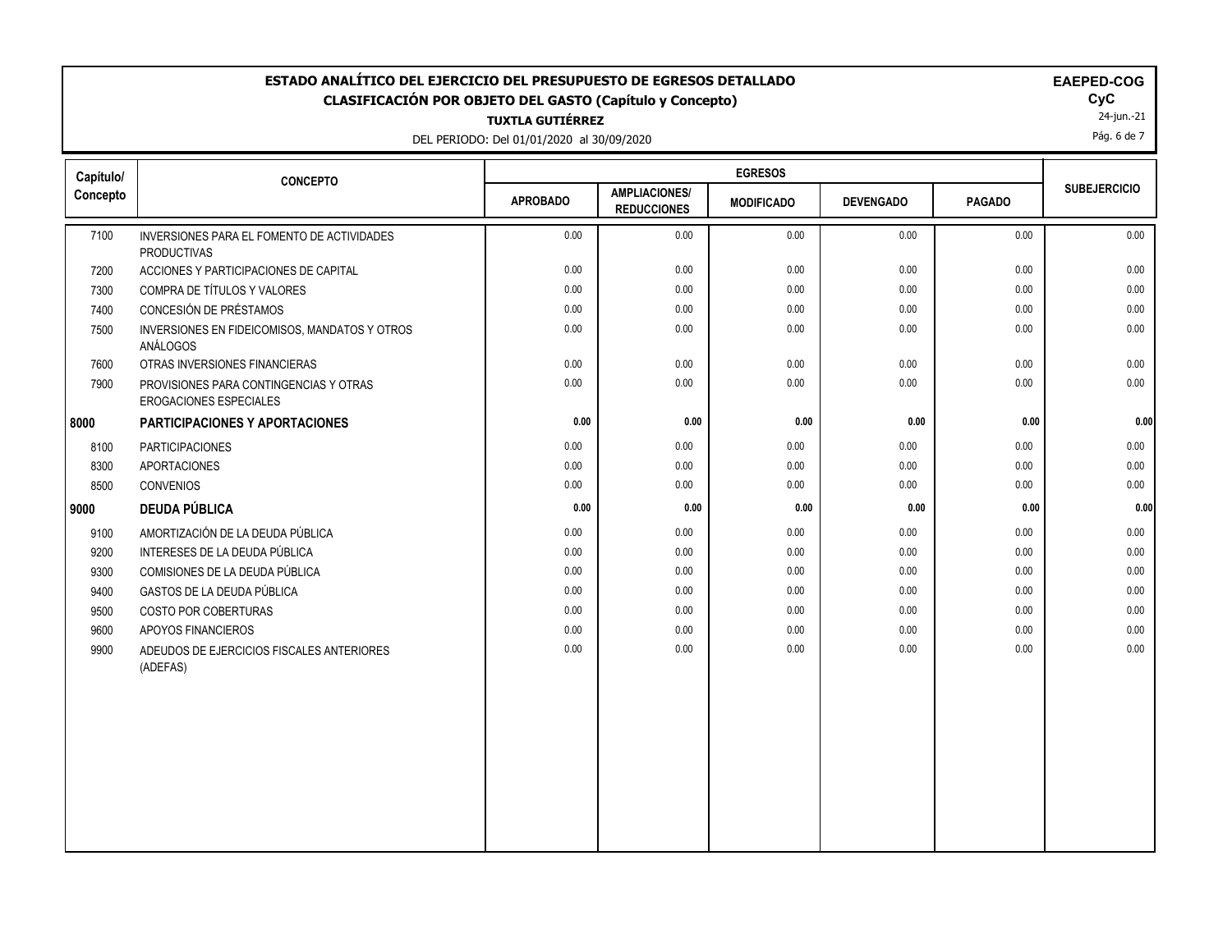### **ESTADO ANALÍTICO DEL EJERCICIO DEL PRESUPUESTO DE EGRESOS DETALLADO EAECOGO EN EXECUCIONADO EM EM CLASIFICACIÓN POR OBJETO DEL GASTO (Capítulo y Concepto) CyC**

**TUXTLA GUTIÉRREZ**

DEL PERIODO: Del 01/01/2020 al 30/09/2020

|  |  |  |  |  |  |  | EAEPED-COG |  |  |
|--|--|--|--|--|--|--|------------|--|--|
|--|--|--|--|--|--|--|------------|--|--|

 $\mathsf{Cyc}$ <br>24-jun.-21

Pág. 6 de 7

| Capítulo/ | <b>CONCEPTO</b>                                                  |                 |                                            | <b>EGRESOS</b>    |                  |               |                     |
|-----------|------------------------------------------------------------------|-----------------|--------------------------------------------|-------------------|------------------|---------------|---------------------|
| Concepto  |                                                                  | <b>APROBADO</b> | <b>AMPLIACIONES/</b><br><b>REDUCCIONES</b> | <b>MODIFICADO</b> | <b>DEVENGADO</b> | <b>PAGADO</b> | <b>SUBEJERCICIO</b> |
| 7100      | INVERSIONES PARA EL FOMENTO DE ACTIVIDADES<br><b>PRODUCTIVAS</b> | 0.00            | 0.00                                       | 0.00              | 0.00             | 0.00          | 0.00                |
| 7200      | ACCIONES Y PARTICIPACIONES DE CAPITAL                            | 0.00            | 0.00                                       | 0.00              | 0.00             | 0.00          | 0.00                |
| 7300      | COMPRA DE TÍTULOS Y VALORES                                      | 0.00            | 0.00                                       | 0.00              | 0.00             | 0.00          | 0.00                |
| 7400      | CONCESIÓN DE PRÉSTAMOS                                           | 0.00            | 0.00                                       | 0.00              | 0.00             | 0.00          | 0.00                |
| 7500      | INVERSIONES EN FIDEICOMISOS, MANDATOS Y OTROS<br>ANÁLOGOS        | 0.00            | 0.00                                       | 0.00              | 0.00             | 0.00          | 0.00                |
| 7600      | OTRAS INVERSIONES FINANCIERAS                                    | 0.00            | 0.00                                       | 0.00              | 0.00             | 0.00          | 0.00                |
| 7900      | PROVISIONES PARA CONTINGENCIAS Y OTRAS<br>EROGACIONES ESPECIALES | 0.00            | 0.00                                       | 0.00              | 0.00             | 0.00          | 0.00                |
| 8000      | PARTICIPACIONES Y APORTACIONES                                   | 0.00            | 0.00                                       | 0.00              | $0.00\,$         | 0.00          | 0.00                |
| 8100      | PARTICIPACIONES                                                  | 0.00            | 0.00                                       | 0.00              | 0.00             | 0.00          | 0.00                |
| 8300      | APORTACIONES                                                     | 0.00            | 0.00                                       | 0.00              | 0.00             | 0.00          | 0.00                |
| 8500      | CONVENIOS                                                        | 0.00            | 0.00                                       | 0.00              | 0.00             | 0.00          | 0.00                |
| 9000      | <b>DEUDA PÚBLICA</b>                                             | 0.00            | 0.00                                       | 0.00              | 0.00             | 0.00          | 0.00                |
| 9100      | AMORTIZACIÓN DE LA DEUDA PÚBLICA                                 | 0.00            | 0.00                                       | 0.00              | 0.00             | 0.00          | 0.00                |
| 9200      | INTERESES DE LA DEUDA PÚBLICA                                    | 0.00            | 0.00                                       | 0.00              | 0.00             | 0.00          | 0.00                |
| 9300      | COMISIONES DE LA DEUDA PÚBLICA                                   | 0.00            | 0.00                                       | 0.00              | 0.00             | 0.00          | 0.00                |
| 9400      | GASTOS DE LA DEUDA PÚBLICA                                       | 0.00            | 0.00                                       | 0.00              | 0.00             | 0.00          | 0.00                |
| 9500      | COSTO POR COBERTURAS                                             | 0.00            | 0.00                                       | 0.00              | 0.00             | 0.00          | 0.00                |
| 9600      | APOYOS FINANCIEROS                                               | 0.00            | 0.00                                       | 0.00              | 0.00             | 0.00          | 0.00                |
| 9900      | ADEUDOS DE EJERCICIOS FISCALES ANTERIORES<br>(ADEFAS)            | 0.00            | 0.00                                       | 0.00              | 0.00             | 0.00          | 0.00                |
|           |                                                                  |                 |                                            |                   |                  |               |                     |
|           |                                                                  |                 |                                            |                   |                  |               |                     |
|           |                                                                  |                 |                                            |                   |                  |               |                     |
|           |                                                                  |                 |                                            |                   |                  |               |                     |